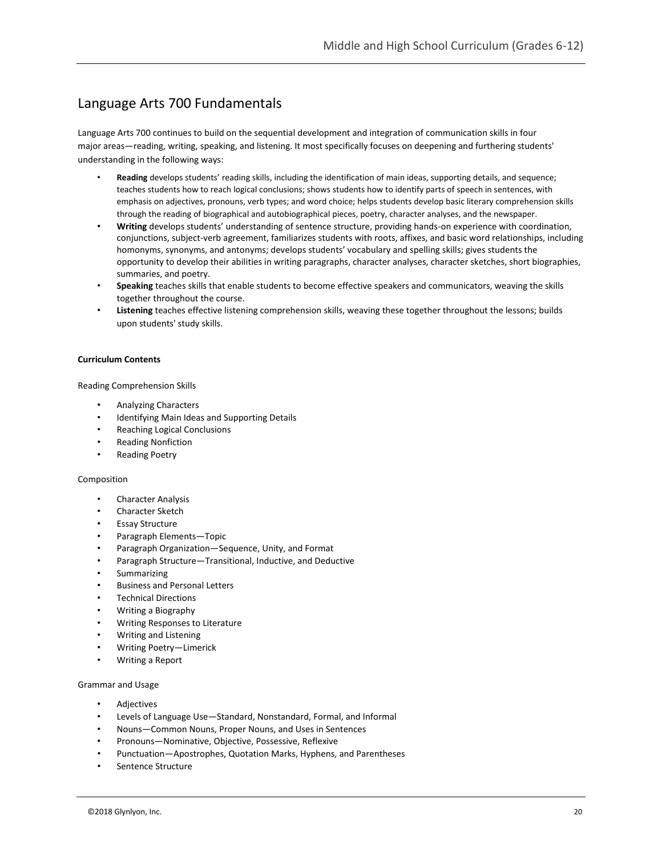# Language Arts 700 Fundamentals

Language Arts 700 continues to build on the sequential development and integration of communication skills in four major areas—reading, writing, speaking, and listening. It most specifically focuses on deepening and furthering students' understanding in the following ways:

- **Reading** develops students' reading skills, including the identification of main ideas, supporting details, and sequence; teaches students how to reach logical conclusions; shows students how to identify parts of speech in sentences, with emphasis on adjectives, pronouns, verb types; and word choice; helps students develop basic literary comprehension skills through the reading of biographical and autobiographical pieces, poetry, character analyses, and the newspaper.
- **Writing** develops students' understanding of sentence structure, providing hands-on experience with coordination, conjunctions, subject-verb agreement, familiarizes students with roots, affixes, and basic word relationships, including homonyms, synonyms, and antonyms; develops students' vocabulary and spelling skills; gives students the opportunity to develop their abilities in writing paragraphs, character analyses, character sketches, short biographies, summaries, and poetry.
- **Speaking** teaches skills that enable students to become effective speakers and communicators, weaving the skills together throughout the course.
- **Listening** teaches effective listening comprehension skills, weaving these together throughout the lessons; builds upon students' study skills.

#### **Curriculum Contents**

Reading Comprehension Skills

- Analyzing Characters
- Identifying Main Ideas and Supporting Details
- Reaching Logical Conclusions
- Reading Nonfiction
- Reading Poetry

#### Composition

- Character Analysis
- Character Sketch
- Essay Structure
- Paragraph Elements—Topic
- Paragraph Organization—Sequence, Unity, and Format
- Paragraph Structure—Transitional, Inductive, and Deductive
- Summarizing
- Business and Personal Letters
- Technical Directions
- Writing a Biography
- Writing Responses to Literature
- Writing and Listening
- Writing Poetry—Limerick
- Writing a Report

#### Grammar and Usage

- Adjectives
- Levels of Language Use—Standard, Nonstandard, Formal, and Informal
- Nouns—Common Nouns, Proper Nouns, and Uses in Sentences
- Pronouns—Nominative, Objective, Possessive, Reflexive
- Punctuation—Apostrophes, Quotation Marks, Hyphens, and Parentheses
- Sentence Structure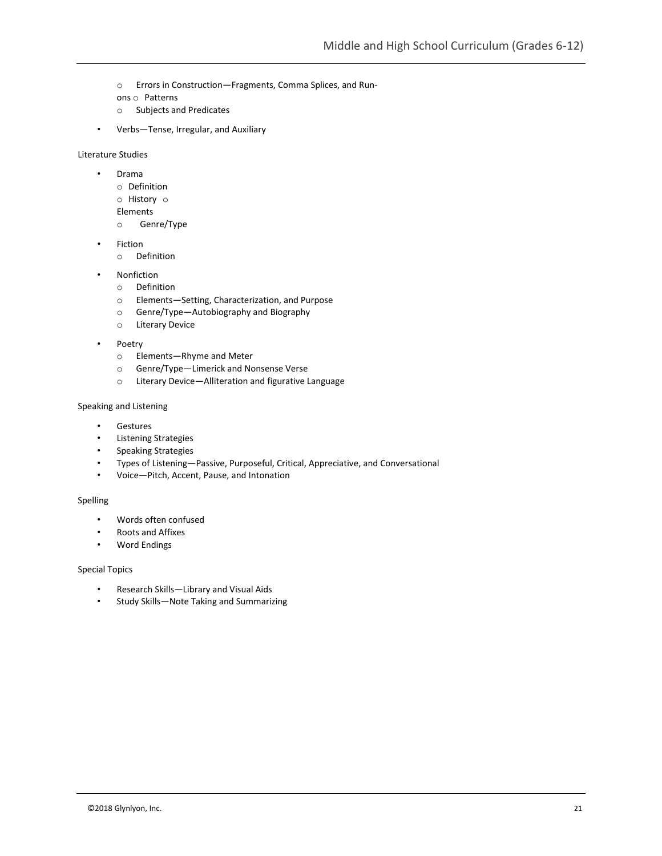o Errors in Construction—Fragments, Comma Splices, and Run-

ons o Patterns

- o Subjects and Predicates
- Verbs—Tense, Irregular, and Auxiliary

Literature Studies

- Drama
	- o Definition
	- o History o
	- Elements
	- o Genre/Type
- **Fiction** 
	- o Definition
- **Nonfiction** 
	- o Definition
	- o Elements—Setting, Characterization, and Purpose
	- o Genre/Type—Autobiography and Biography
	- o Literary Device
- Poetry
	- o Elements—Rhyme and Meter
	- o Genre/Type—Limerick and Nonsense Verse
	- o Literary Device—Alliteration and figurative Language

### Speaking and Listening

- Gestures
- Listening Strategies
- Speaking Strategies
- Types of Listening—Passive, Purposeful, Critical, Appreciative, and Conversational
- Voice—Pitch, Accent, Pause, and Intonation

## Spelling

- Words often confused
- Roots and Affixes
- Word Endings

### Special Topics

- Research Skills—Library and Visual Aids
- Study Skills—Note Taking and Summarizing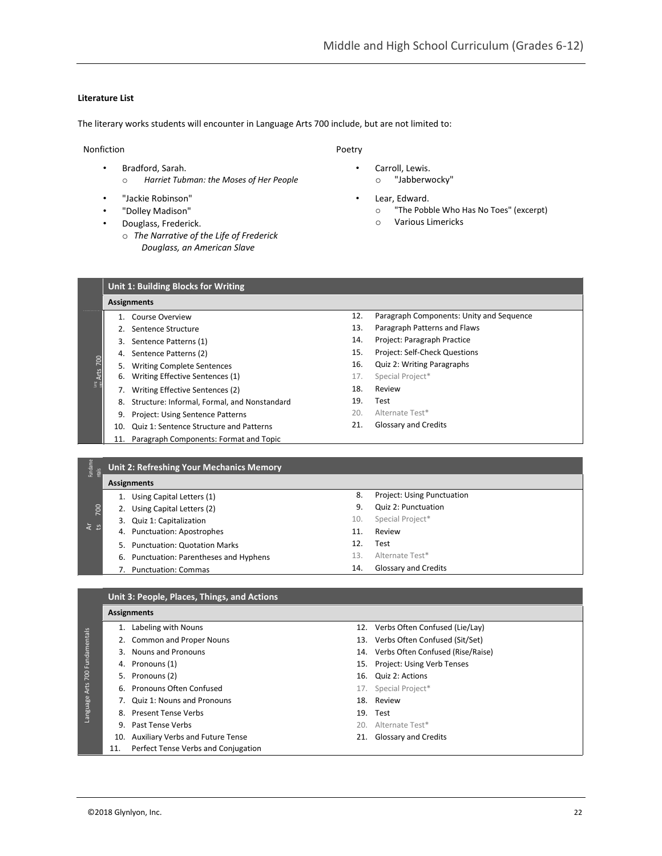### **Literature List**

The literary works students will encounter in Language Arts 700 include, but are not limited to:

### Nonfiction

- Bradford, Sarah.
	- o *Harriet Tubman: the Moses of Her People*
- "Jackie Robinson"
- "Dolley Madison"
- Douglass, Frederick.
	- o *The Narrative of the Life of Frederick Douglass, an American Slave*

### Poetry

- Carroll, Lewis.
	- o "Jabberwocky"
- Lear, Edward.
	- o "The Pobble Who Has No Toes" (excerpt)
	- o Various Limericks

| Unit 1: Building Blocks for Writing |  |  |
|-------------------------------------|--|--|

#### **Assignments**

700

Arts

Lang uage

Fundame

700

Ar ts

- 1. Course Overview
- 2. Sentence Structure
- 3. Sentence Patterns (1)
- 4. Sentence Patterns (2)
- 5. Writing Complete Sentences
- 6. Writing Effective Sentences (1)
- 7. Writing Effective Sentences (2)
- 8. Structure: Informal, Formal, and Nonstandard
- 9. Project: Using Sentence Patterns
- 10. Quiz 1: Sentence Structure and Patterns
- 11. Paragraph Components: Format and Topic
- 12. Paragraph Components: Unity and Sequence
- 13. Paragraph Patterns and Flaws
- 14. Project: Paragraph Practice
- 15. Project: Self-Check Questions
- 16. Quiz 2: Writing Paragraphs
- 17. Special Project\*
- 18. Review
- 19. Test
- 20. Alternate Test\*
- 21. Glossary and Credits

8. Project: Using Punctuation 9. Quiz 2: Punctuation 10. Special Project\* 11. Review 12. Test

#### ntals **Unit 2: Refreshing Your Mechanics Memory**

## **Assignments**

- 1. Using Capital Letters (1) 2. Using Capital Letters (2)
- 3. Quiz 1: Capitalization
- 4. Punctuation: Apostrophes
- 5. Punctuation: Quotation Marks
- 6. Punctuation: Parentheses and Hyphens
- 7. Punctuation: Commas

#### **Unit 3: People, Places, Things, and Actions**

#### **Assignments**

- 1. Labeling with Nouns 12. Verbs Often Confused (Lie/Lay) Language Arts 700 Fundamentals 2. Common and Proper Nouns 13. Verbs Often Confused (Sit/Set) anguage Arts 700 Fundame 3. Nouns and Pronouns 14. Verbs Often Confused (Rise/Raise) 4. Pronouns (1) 15. Project: Using Verb Tenses 5. Pronouns (2) 16. Quiz 2: Actions 6. Pronouns Often Confused 17. Special Project\* 7. Quiz 1: Nouns and Pronouns 18. Review 8. Present Tense Verbs 19. Test **9. Past Tense Verbs** 20. Alternate Test\* 10. Auxiliary Verbs and Future Tense 21. Glossary and Credits 11. Perfect Tense Verbs and Conjugation
	-
	-
	-
	-
	-
	-

13. Alternate Test\* 14. Glossary and Credits

- 
- 
- 
-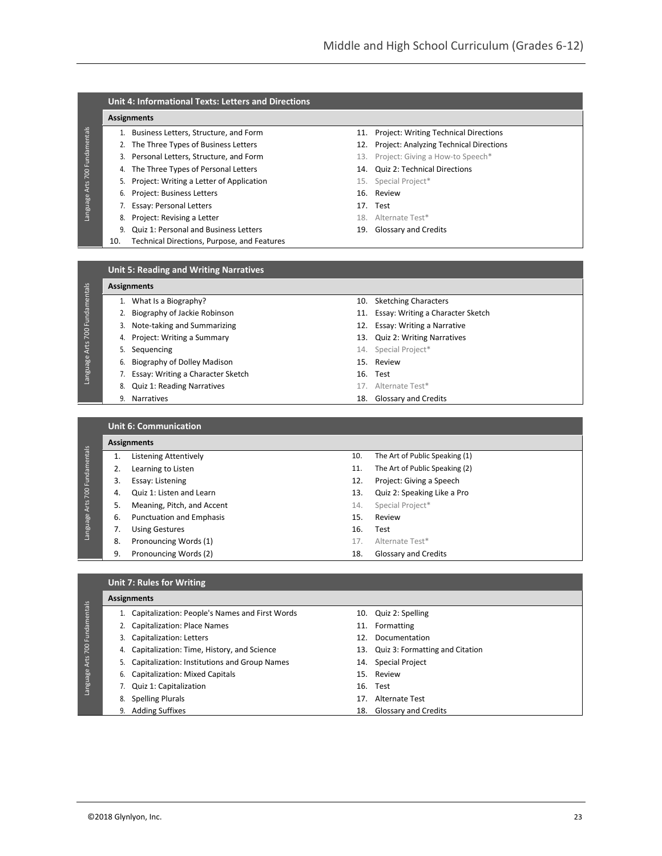### **Unit 4: Informational Texts: Letters and Directions**

## **Assignments**

Language Arts 700 Fundamentals

Language Arts 700 Fundamentals

Language Arts 700 Fundamentals

Language Arts 700 Fundamentals

- 
- 
- 
- 
- 5. Project: Writing a Letter of Application 15. Special Project\*
- 6. Project: Business Letters 16. Review
- 7. Essay: Personal Letters 17. Test
- 8. Project: Revising a Letter and the state of the state Test and the Magnus and the Magnus and the Magnus Antennate Test and the Magnus Antennate Test and the Magnus Antennate Test and the Magnus Antennate Test and the Ma
- 9. Quiz 1: Personal and Business Letters 19. Glossary and Credits
- 10. Technical Directions, Purpose, and Features
- 1. Business Letters, Structure, and Form 11. Project: Writing Technical Directions
- 2. The Three Types of Business Letters 12. Project: Analyzing Technical Directions
- 3. Personal Letters, Structure, and Form 13. Project: Giving a How-to Speech\*
- 4. The Three Types of Personal Letters 14. Quiz 2: Technical Directions
	-
	-
	-
	-
	-

#### **Unit 5: Reading and Writing Narratives**

|    | <b>Assignments</b>                |     |                                       |  |
|----|-----------------------------------|-----|---------------------------------------|--|
|    | What Is a Biography?              |     | 10. Sketching Characters              |  |
|    | Biography of Jackie Robinson      |     | 11. Essay: Writing a Character Sketch |  |
| 3. | Note-taking and Summarizing       | 12. | Essay: Writing a Narrative            |  |
| 4. | Project: Writing a Summary        |     | 13. Quiz 2: Writing Narratives        |  |
|    | Sequencing                        |     | 14. Special Project*                  |  |
| 6. | Biography of Dolley Madison       |     | 15. Review                            |  |
|    | Essay: Writing a Character Sketch |     | 16. Test                              |  |
| 8. | <b>Quiz 1: Reading Narratives</b> |     | 17. Alternate Test*                   |  |
| 9. | <b>Narratives</b>                 | 18. | <b>Glossary and Credits</b>           |  |

**Unit 6: Communication**

| 700 Fundamentals<br>Arts<br>Language |    | <b>Assignments</b>              |     |                                |  |  |
|--------------------------------------|----|---------------------------------|-----|--------------------------------|--|--|
|                                      |    | Listening Attentively           | 10. | The Art of Public Speaking (1) |  |  |
|                                      |    | Learning to Listen              | 11. | The Art of Public Speaking (2) |  |  |
|                                      | 3. | Essay: Listening                | 12. | Project: Giving a Speech       |  |  |
|                                      | 4. | Quiz 1: Listen and Learn        | 13. | Quiz 2: Speaking Like a Pro    |  |  |
|                                      | 5. | Meaning, Pitch, and Accent      | 14. | Special Project*               |  |  |
|                                      | 6. | <b>Punctuation and Emphasis</b> | 15. | Review                         |  |  |
|                                      |    | <b>Using Gestures</b>           | 16. | Test                           |  |  |
|                                      | 8. | Pronouncing Words (1)           | 17. | Alternate Test*                |  |  |
|                                      | 9. | Pronouncing Words (2)           | 18. | Glossary and Credits           |  |  |

| <b>Unit 7: Rules for Writing</b> |
|----------------------------------|
| Accianmonte                      |

|                                         |    | <b>Assignments</b>                             |     |                                     |  |  |
|-----------------------------------------|----|------------------------------------------------|-----|-------------------------------------|--|--|
|                                         |    | Capitalization: People's Names and First Words |     | 10. Quiz 2: Spelling                |  |  |
| Fundamentals<br>700<br>Arts<br>Language |    | 2. Capitalization: Place Names                 |     | 11. Formatting                      |  |  |
|                                         |    | Capitalization: Letters                        |     | 12. Documentation                   |  |  |
|                                         | 4. | Capitalization: Time, History, and Science     |     | 13. Quiz 3: Formatting and Citation |  |  |
|                                         |    | Capitalization: Institutions and Group Names   | 14. | <b>Special Project</b>              |  |  |
|                                         |    | 6. Capitalization: Mixed Capitals              |     | 15. Review                          |  |  |
|                                         |    | Quiz 1: Capitalization                         |     | 16. Test                            |  |  |
|                                         | 8. | <b>Spelling Plurals</b>                        |     | 17. Alternate Test                  |  |  |
|                                         |    | <b>Adding Suffixes</b>                         |     | 18. Glossary and Credits            |  |  |